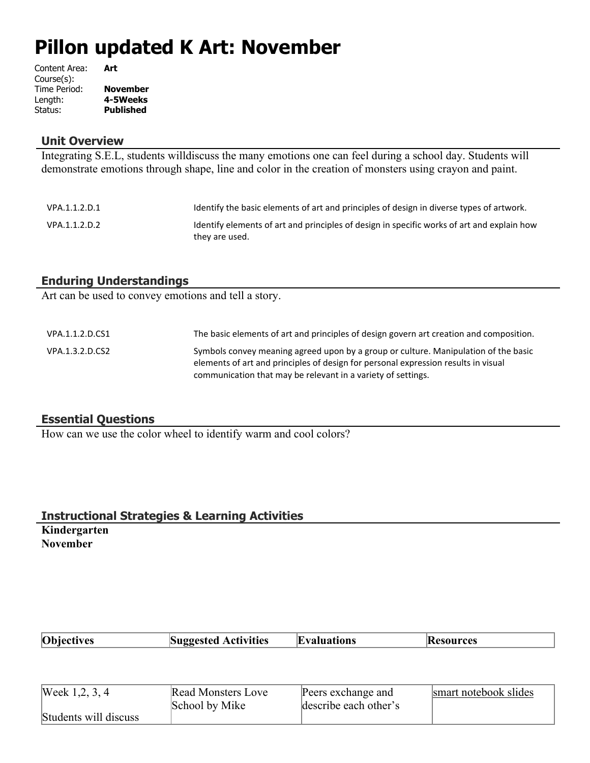# **Pillon updated K Art: November**

| Content Area: | Art             |
|---------------|-----------------|
| Course(s):    |                 |
| Time Period:  | <b>November</b> |
| Length:       | 4-5Weeks        |
| Status:       | Published       |

#### **Unit Overview**

Integrating S.E.L, students willdiscuss the many emotions one can feel during a school day. Students will demonstrate emotions through shape, line and color in the creation of monsters using crayon and paint.

| VPA.1.1.2.D.1 | Identify the basic elements of art and principles of design in diverse types of artwork.                     |
|---------------|--------------------------------------------------------------------------------------------------------------|
| VPA.1.1.2.D.2 | Identify elements of art and principles of design in specific works of art and explain how<br>they are used. |

#### **Enduring Understandings**

Art can be used to convey emotions and tell a story.

| VPA.1.1.2.D.CS1 | The basic elements of art and principles of design govern art creation and composition.                                                                                                                                                   |
|-----------------|-------------------------------------------------------------------------------------------------------------------------------------------------------------------------------------------------------------------------------------------|
| VPA.1.3.2.D.CS2 | Symbols convey meaning agreed upon by a group or culture. Manipulation of the basic<br>elements of art and principles of design for personal expression results in visual<br>communication that may be relevant in a variety of settings. |

#### **Essential Questions**

How can we use the color wheel to identify warm and cool colors?

#### **Instructional Strategies & Learning Activities Kindergarten**

**November**

| <b>Objectives</b> | <b>Suggested Activities</b> | <b>Evaluations</b> | <b>Resources</b> |
|-------------------|-----------------------------|--------------------|------------------|
|                   |                             |                    |                  |

| Week 1, 2, 3, 4       | <b>Read Monsters Love</b> | Peers exchange and    | smart notebook slides |
|-----------------------|---------------------------|-----------------------|-----------------------|
|                       | School by Mike            | describe each other's |                       |
| Students will discuss |                           |                       |                       |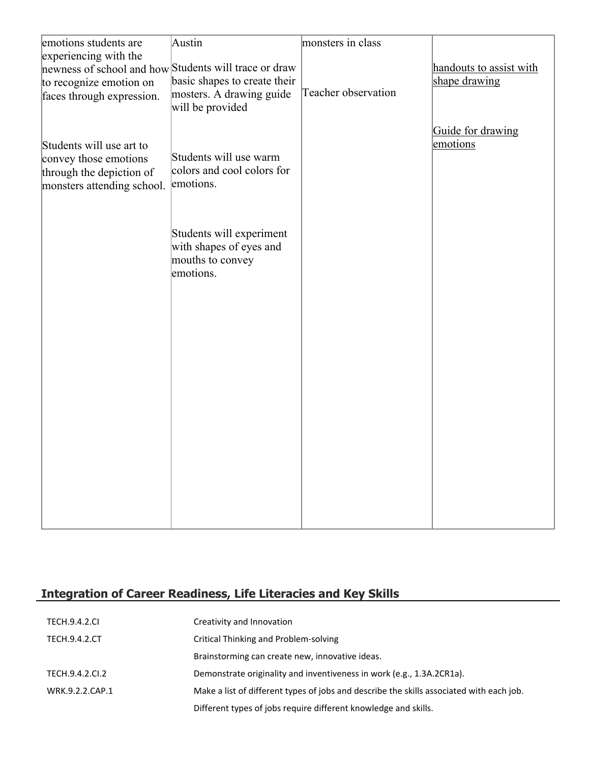| emotions students are                                                           | Austin                                                            | monsters in class   |                         |
|---------------------------------------------------------------------------------|-------------------------------------------------------------------|---------------------|-------------------------|
| experiencing with the<br>newness of school and how Students will trace or draw  |                                                                   |                     | handouts to assist with |
| to recognize emotion on                                                         | basic shapes to create their                                      |                     | shape drawing           |
| faces through expression.                                                       | mosters. A drawing guide<br>will be provided                      | Teacher observation |                         |
|                                                                                 |                                                                   |                     | Guide for drawing       |
| Students will use art to                                                        |                                                                   |                     | emotions                |
| convey those emotions<br>through the depiction of<br>monsters attending school. | Students will use warm<br>colors and cool colors for<br>emotions. |                     |                         |
|                                                                                 |                                                                   |                     |                         |
|                                                                                 | Students will experiment                                          |                     |                         |
|                                                                                 | with shapes of eyes and<br>mouths to convey<br>emotions.          |                     |                         |
|                                                                                 |                                                                   |                     |                         |
|                                                                                 |                                                                   |                     |                         |
|                                                                                 |                                                                   |                     |                         |
|                                                                                 |                                                                   |                     |                         |
|                                                                                 |                                                                   |                     |                         |
|                                                                                 |                                                                   |                     |                         |
|                                                                                 |                                                                   |                     |                         |
|                                                                                 |                                                                   |                     |                         |
|                                                                                 |                                                                   |                     |                         |
|                                                                                 |                                                                   |                     |                         |

# **Integration of Career Readiness, Life Literacies and Key Skills**

| <b>TECH.9.4.2.CL</b> | Creativity and Innovation                                                                |
|----------------------|------------------------------------------------------------------------------------------|
| <b>TECH.9.4.2.CT</b> | Critical Thinking and Problem-solving                                                    |
|                      | Brainstorming can create new, innovative ideas.                                          |
| TECH.9.4.2.CI.2      | Demonstrate originality and inventiveness in work (e.g., 1.3A.2CR1a).                    |
| WRK.9.2.2.CAP.1      | Make a list of different types of jobs and describe the skills associated with each job. |
|                      | Different types of jobs require different knowledge and skills.                          |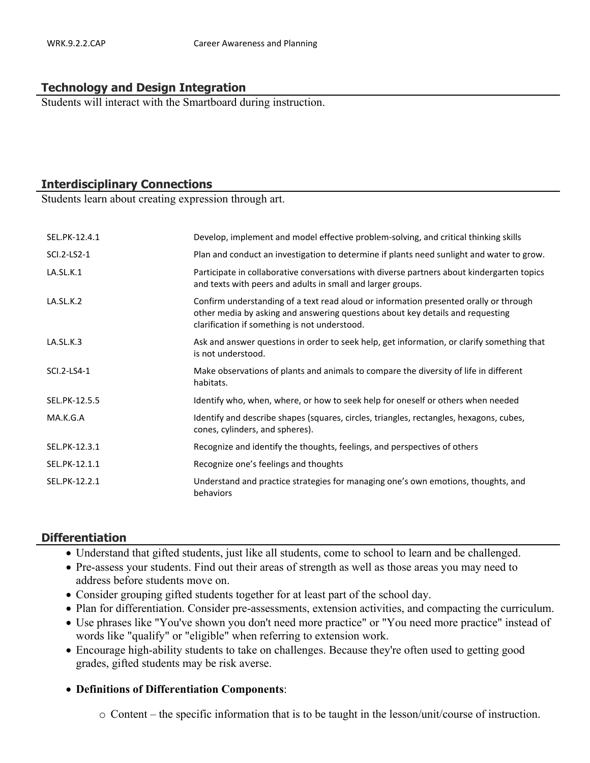#### **Technology and Design Integration**

Students will interact with the Smartboard during instruction.

# **Interdisciplinary Connections**

Students learn about creating expression through art.

| SEL.PK-12.4.1 | Develop, implement and model effective problem-solving, and critical thinking skills                                                                                                                                     |
|---------------|--------------------------------------------------------------------------------------------------------------------------------------------------------------------------------------------------------------------------|
| SCI.2-LS2-1   | Plan and conduct an investigation to determine if plants need sunlight and water to grow.                                                                                                                                |
| LA.SL.K.1     | Participate in collaborative conversations with diverse partners about kindergarten topics<br>and texts with peers and adults in small and larger groups.                                                                |
| LA.SL.K.2     | Confirm understanding of a text read aloud or information presented orally or through<br>other media by asking and answering questions about key details and requesting<br>clarification if something is not understood. |
| LA.SL.K.3     | Ask and answer questions in order to seek help, get information, or clarify something that<br>is not understood.                                                                                                         |
| SCI.2-LS4-1   | Make observations of plants and animals to compare the diversity of life in different<br>habitats.                                                                                                                       |
| SEL.PK-12.5.5 | Identify who, when, where, or how to seek help for oneself or others when needed                                                                                                                                         |
| MA.K.G.A      | Identify and describe shapes (squares, circles, triangles, rectangles, hexagons, cubes,<br>cones, cylinders, and spheres).                                                                                               |
| SEL.PK-12.3.1 | Recognize and identify the thoughts, feelings, and perspectives of others                                                                                                                                                |
| SEL.PK-12.1.1 | Recognize one's feelings and thoughts                                                                                                                                                                                    |
| SEL.PK-12.2.1 | Understand and practice strategies for managing one's own emotions, thoughts, and<br>behaviors                                                                                                                           |

#### **Differentiation**

- Understand that gifted students, just like all students, come to school to learn and be challenged.
- Pre-assess your students. Find out their areas of strength as well as those areas you may need to address before students move on.
- Consider grouping gifted students together for at least part of the school day.
- Plan for differentiation. Consider pre-assessments, extension activities, and compacting the curriculum.
- Use phrases like "You've shown you don't need more practice" or "You need more practice" instead of words like "qualify" or "eligible" when referring to extension work.
- Encourage high-ability students to take on challenges. Because they're often used to getting good grades, gifted students may be risk averse.

#### **Definitions of Differentiation Components**:

o Content – the specific information that is to be taught in the lesson/unit/course of instruction.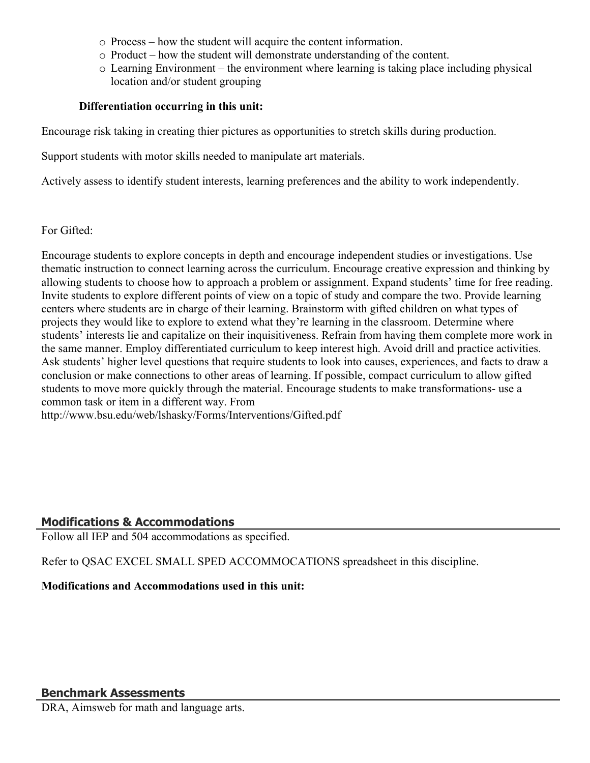- o Process how the student will acquire the content information.
- o Product how the student will demonstrate understanding of the content.
- o Learning Environment the environment where learning is taking place including physical location and/or student grouping

### **Differentiation occurring in this unit:**

Encourage risk taking in creating thier pictures as opportunities to stretch skills during production.

Support students with motor skills needed to manipulate art materials.

Actively assess to identify student interests, learning preferences and the ability to work independently.

For Gifted:

Encourage students to explore concepts in depth and encourage independent studies or investigations. Use thematic instruction to connect learning across the curriculum. Encourage creative expression and thinking by allowing students to choose how to approach a problem or assignment. Expand students' time for free reading. Invite students to explore different points of view on a topic of study and compare the two. Provide learning centers where students are in charge of their learning. Brainstorm with gifted children on what types of projects they would like to explore to extend what they're learning in the classroom. Determine where students' interests lie and capitalize on their inquisitiveness. Refrain from having them complete more work in the same manner. Employ differentiated curriculum to keep interest high. Avoid drill and practice activities. Ask students' higher level questions that require students to look into causes, experiences, and facts to draw a conclusion or make connections to other areas of learning. If possible, compact curriculum to allow gifted students to move more quickly through the material. Encourage students to make transformations- use a common task or item in a different way. From http://www.bsu.edu/web/lshasky/Forms/Interventions/Gifted.pdf

# **Modifications & Accommodations**

Follow all IEP and 504 accommodations as specified.

Refer to QSAC EXCEL SMALL SPED ACCOMMOCATIONS spreadsheet in this discipline.

**Modifications and Accommodations used in this unit:**

# **Benchmark Assessments**

DRA, Aimsweb for math and language arts.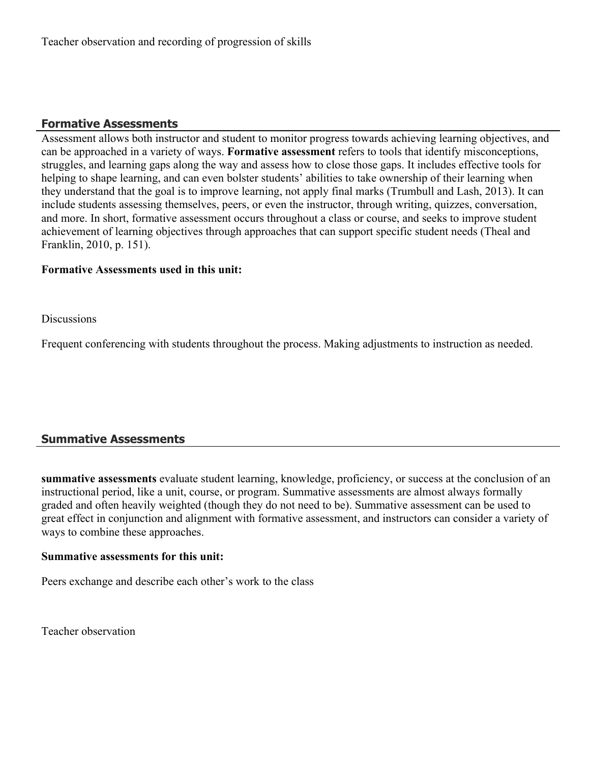# **Formative Assessments**

Assessment allows both instructor and student to monitor progress towards achieving learning objectives, and can be approached in a variety of ways. **Formative assessment** refers to tools that identify misconceptions, struggles, and learning gaps along the way and assess how to close those gaps. It includes effective tools for helping to shape learning, and can even bolster students' abilities to take ownership of their learning when they understand that the goal is to improve learning, not apply final marks (Trumbull and Lash, 2013). It can include students assessing themselves, peers, or even the instructor, through writing, quizzes, conversation, and more. In short, formative assessment occurs throughout a class or course, and seeks to improve student achievement of learning objectives through approaches that can support specific student needs (Theal and Franklin, 2010, p. 151).

#### **Formative Assessments used in this unit:**

**Discussions** 

Frequent conferencing with students throughout the process. Making adjustments to instruction as needed.

# **Summative Assessments**

**summative assessments** evaluate student learning, knowledge, proficiency, or success at the conclusion of an instructional period, like a unit, course, or program. Summative assessments are almost always formally graded and often heavily weighted (though they do not need to be). Summative assessment can be used to great effect in conjunction and alignment with formative assessment, and instructors can consider a variety of ways to combine these approaches.

#### **Summative assessments for this unit:**

Peers exchange and describe each other's work to the class

Teacher observation